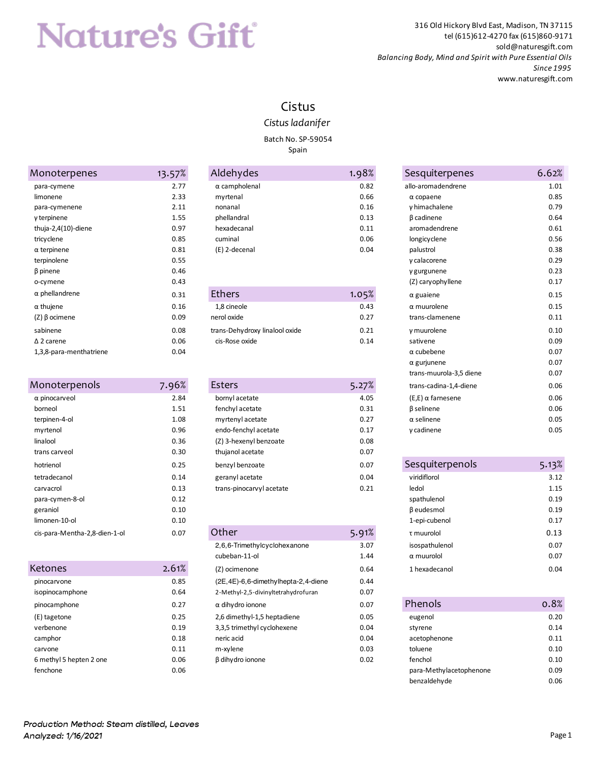# **Nature's Gift**

316 Old Hickory Blvd East, Madison, TN 37115 tel (615)612-4270 fax (615)860-9171 sold@naturesgift.com *Balancing Body, Mind and Spirit with Pure Essential Oils Since 1995* www.naturesgift.com

#### Cistus

#### *Cistus ladanifer*

Batch No. SP-59054

Spain

| Monoterpenes            | 13.57% |
|-------------------------|--------|
| para-cymene             | 2.77   |
| limonene                | 2.33   |
| para-cymenene           | 2.11   |
| γ terpinene             | 1.55   |
| thuja-2,4 $(10)$ -diene | 0.97   |
| tricyclene              | 0.85   |
| $\alpha$ terpinene      | 0.81   |
| terpinolene             | 0.55   |
| β pinene                | 0.46   |
| o-cymene                | 0.43   |
| $\alpha$ phellandrene   | 0.31   |
| $\alpha$ thujene        | 0.16   |
| (Ζ) β ocimene           | 0.09   |
| sabinene                | 0.08   |
| $\Delta$ 2 carene       | 0.06   |
| 1,3,8-para-menthatriene | 0.04   |

| Monoterpenols                 | 7.96% |
|-------------------------------|-------|
| $\alpha$ pinocarveol          | 2.84  |
| borneol                       | 1.51  |
| terpinen-4-ol                 | 1.08  |
| myrtenol                      | 0.96  |
| linalool                      | 0.36  |
| trans carveol                 | 0.30  |
| hotrienol                     | 0.25  |
| tetradecanol                  | 0.14  |
| carvacrol                     | 0.13  |
| para-cymen-8-ol               | 0.12  |
| geraniol                      | 0.10  |
| limonen-10-ol                 | 0.10  |
| cis-para-Mentha-2,8-dien-1-ol | 0.07  |

| Ketones                 | 2.61% |
|-------------------------|-------|
| pinocarvone             | 0.85  |
| isopinocamphone         | 0.64  |
| pinocamphone            | 0.27  |
| (E) tagetone            | 0.25  |
| verhenone               | 0.19  |
| camphor                 | 0.18  |
| carvone                 | 0.11  |
| 6 methyl 5 hepten 2 one | 0.06  |
| fenchone                | 0.O6  |
|                         |       |

| Monoterpenes        | 13.57% | Aldehydes            | 1.98% | Sesquiterpenes     | 6.62% |
|---------------------|--------|----------------------|-------|--------------------|-------|
| para-cymene         | 2.77   | $\alpha$ campholenal | 0.82  | allo-aromadendrene | 1.01  |
| limonene            | 2.33   | myrtenal             | 0.66  | $\alpha$ copaene   | 0.85  |
| para-cymenene       | 2.11   | nonanal              | 0.16  | y himachalene      | 0.79  |
| y terpinene         | 1.55   | phellandral          | 0.13  | B cadinene         | 0.64  |
| thuja-2,4(10)-diene | 0.97   | hexadecanal          | 0.11  | aromadendrene      | 0.61  |
| tricyclene          | 0.85   | cuminal              | 0.06  | longicyclene       | 0.56  |
| $\alpha$ terpinene  | 0.81   | (E) 2-decenal        | 0.04  | palustrol          | 0.38  |
|                     |        |                      |       |                    |       |

| α phellandrene    | 0.31 | Ethers                         | 1.05% | $\alpha$ guaiene | 0.15 |
|-------------------|------|--------------------------------|-------|------------------|------|
| α thujene         | 0.16 | 1,8 cineole                    | 0.43  | α muurolene      | 0.15 |
| (Ζ) β ocimene     | 0.09 | nerol oxide                    | 0.27  | trans-clamenene  | 0.11 |
| sabinene          | 0.08 | trans-Dehydroxy linalool oxide | 0.21  | y muurolene      | 0.10 |
| $\Delta$ 2 carene | 0.06 | cis-Rose oxide                 | 0.14  | sativene         | 0.09 |
|                   |      |                                |       |                  |      |

| Monoterpenols        | 7.96% | Esters                   | 5.27% | trans-cadina-1,4-diene     | 0.06  |
|----------------------|-------|--------------------------|-------|----------------------------|-------|
| $\alpha$ pinocarveol | 2.84  | bornyl acetate           | 4.05  | $(E,E)$ $\alpha$ farnesene | 0.06  |
| borneol              | 1.51  | fenchyl acetate          | 0.31  | <b>B</b> selinene          | 0.06  |
| terpinen-4-ol        | 1.08  | myrtenyl acetate         | 0.27  | $\alpha$ selinene          | 0.05  |
| myrtenol             | 0.96  | endo-fenchyl acetate     | 0.17  | $v$ cadinene               | 0.05  |
| linalool             | 0.36  | (Z) 3-hexenyl benzoate   | 0.08  |                            |       |
| trans carveol        | 0.30  | thujanol acetate         | 0.07  |                            |       |
| hotrienol            | 0.25  | benzyl benzoate          | 0.07  | Sesquiterpenols            | 5.13% |
| tetradecanol         | 0.14  | geranyl acetate          | 0.04  | viridiflorol               | 3.12  |
| carvacrol            | 0.13  | trans-pinocarvyl acetate | 0.21  | ledol                      | 1.15  |

| cis-para-Mentha-2,8-dien-1-ol | 0.07  | Other                                  | 5.91% | τ muurolol        | 0.13 |
|-------------------------------|-------|----------------------------------------|-------|-------------------|------|
|                               |       | 2,6,6-Trimethylcyclohexanone           | 3.07  | isospathulenol    | 0.07 |
|                               |       | cubeban-11-ol                          | 1.44  | $\alpha$ muurolol | 0.07 |
| <b>Ketones</b>                | 2.61% | (Z) ocimenone                          | 0.64  | 1 hexadecanol     | 0.04 |
| pinocarvone                   | 0.85  | (2E, 4E)-6, 6-dimethylhepta-2, 4-diene | 0.44  |                   |      |
| isopinocamphone               | 0.64  | 2-Methyl-2,5-divinyltetrahydrofuran    | 0.07  |                   |      |
| pinocamphone                  | 0.27  | $\alpha$ dihydro ionone                | 0.07  | Phenols           | 0.8% |
| (E) tagetone                  | 0.25  | 2,6 dimethyl-1,5 heptadiene            | 0.05  | eugenol           | 0.20 |
| verbenone                     | 0.19  | 3,3,5 trimethyl cyclohexene            | 0.04  | styrene           | 0.14 |
| camphor                       | 0.18  | neric acid                             | 0.04  | acetophenone      | 0.11 |
| carvone                       | 0.11  | m-xylene                               | 0.03  | toluene           | 0.10 |
| 6 methyl 5 hepten 2 one       | 0.06  | β dihydro ionone                       | 0.02  | fenchol           | 0.10 |
|                               |       |                                        |       |                   |      |

| Aonoterpenes            | 13.57% | Aldehydes                      | 1.98% | Sesquiterpenes             | 6.62% |
|-------------------------|--------|--------------------------------|-------|----------------------------|-------|
| para-cymene             | 2.77   | $\alpha$ campholenal           | 0.82  | allo-aromadendrene         | 1.01  |
| limonene                | 2.33   | myrtenal                       | 0.66  | $\alpha$ copaene           | 0.85  |
| para-cymenene           | 2.11   | nonanal                        | 0.16  | y himachalene              | 0.79  |
| γ terpinene             | 1.55   | phellandral                    | 0.13  | <b>B</b> cadinene          | 0.64  |
| thuja-2,4(10)-diene     | 0.97   | hexadecanal                    | 0.11  | aromadendrene              | 0.61  |
| tricyclene              | 0.85   | cuminal                        | 0.06  | longicyclene               | 0.56  |
| $\alpha$ terpinene      | 0.81   | (E) 2-decenal                  | 0.04  | palustrol                  | 0.38  |
| terpinolene             | 0.55   |                                |       | γ calacorene               | 0.29  |
| β pinene                | 0.46   |                                |       | y gurgunene                | 0.23  |
| o-cymene                | 0.43   |                                |       | (Z) caryophyllene          | 0.17  |
| α phellandrene          | 0.31   | <b>Ethers</b>                  | 1.05% | $\alpha$ guaiene           | 0.15  |
| α thujene               | 0.16   | 1,8 cineole                    | 0.43  | $\alpha$ muurolene         | 0.15  |
| (Ζ) β ocimene           | 0.09   | nerol oxide                    | 0.27  | trans-clamenene            | 0.11  |
| sabinene                | 0.08   | trans-Dehydroxy linalool oxide | 0.21  | y muurolene                | 0.10  |
| $\Delta$ 2 carene       | 0.06   | cis-Rose oxide                 | 0.14  | sativene                   | 0.09  |
| 1,3,8-para-menthatriene | 0.04   |                                |       | $\alpha$ cubebene          | 0.07  |
|                         |        |                                |       | $\alpha$ gurjunene         | 0.07  |
|                         |        |                                |       | trans-muurola-3,5 diene    | 0.07  |
| Aonoterpenols           | 7.96%  | <b>Esters</b>                  | 5.27% | trans-cadina-1,4-diene     | 0.06  |
| α pinocarveol           | 2.84   | bornyl acetate                 | 4.05  | $(E,E)$ $\alpha$ farnesene | 0.06  |
| borneol                 | 1.51   | fenchyl acetate                | 0.31  | <b>B</b> selinene          | 0.06  |
| terpinen-4-ol           | 1.08   | myrtenyl acetate               | 0.27  | $\alpha$ selinene          | 0.05  |
| myrtenol                | 0.96   | endo-fenchyl acetate           | 0.17  | y cadinene                 | 0.05  |

| hotrienol                     | 0.25  | benzyl benzoate              | 0.07  | Sesquiterpenols   | 5.13% |
|-------------------------------|-------|------------------------------|-------|-------------------|-------|
| tetradecanol                  | 0.14  | geranyl acetate              | 0.04  | viridiflorol      | 3.12  |
| carvacrol                     | 0.13  | trans-pinocarvyl acetate     | 0.21  | ledol             | 1.15  |
| para-cymen-8-ol               | 0.12  |                              |       | spathulenol       | 0.19  |
| geraniol                      | 0.10  |                              |       | β eudesmol        | 0.19  |
| limonen-10-ol                 | 0.10  |                              |       | 1-epi-cubenol     | 0.17  |
| cis-para-Mentha-2,8-dien-1-ol | 0.07  | Other                        | 5.91% | τ muurolol        | 0.13  |
|                               |       | 2,6,6-Trimethylcyclohexanone | 3.07  | isospathulenol    | 0.07  |
|                               |       | cubeban-11-ol                | 1.44  | $\alpha$ muurolol | 0.07  |
| étones)                       | 2.61% | (Z) ocimenone                | 0.64  | 1 hexadecanol     | 0.04  |

| pinocamphone            | 0.27 | $\alpha$ dihydro ionone     | 0.07 | Phenols                 | 0.8% |
|-------------------------|------|-----------------------------|------|-------------------------|------|
| (E) tagetone            | 0.25 | 2,6 dimethyl-1,5 heptadiene | 0.05 | eugenol                 | 0.20 |
| verbenone               | 0.19 | 3,3,5 trimethyl cyclohexene | 0.04 | styrene                 | 0.14 |
| camphor                 | 0.18 | neric acid                  | 0.04 | acetophenone            | 0.11 |
| carvone                 | 0.11 | m-xylene                    | 0.03 | toluene                 | 0.10 |
| 6 methyl 5 hepten 2 one | 0.06 | β dihydro ionone            | 0.02 | fenchol                 | 0.10 |
| fenchone                | 0.06 |                             |      | para-Methylacetophenone | 0.09 |
|                         |      |                             |      | benzaldehyde            | 0.06 |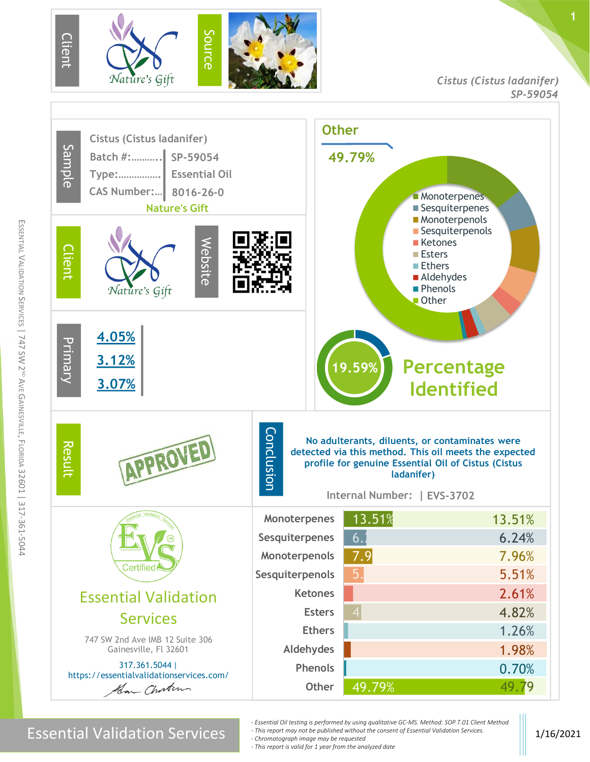

*Cistus (Cistus ladanifer) SP-59054*

**1**



m

Essential Validation Services **1/2021**<br>Chromatograph image may be requested experiment of Essential Validation Services.

- *- Essential Oil testing is performed by using qualitative GC-MS. Method: SOP.T.01 Client Method - This report may not be published without the consent of Essential Validation Services.*
- *- Chromatograph image may be requested*
- *- This report is valid for 1 year from the analyzed date*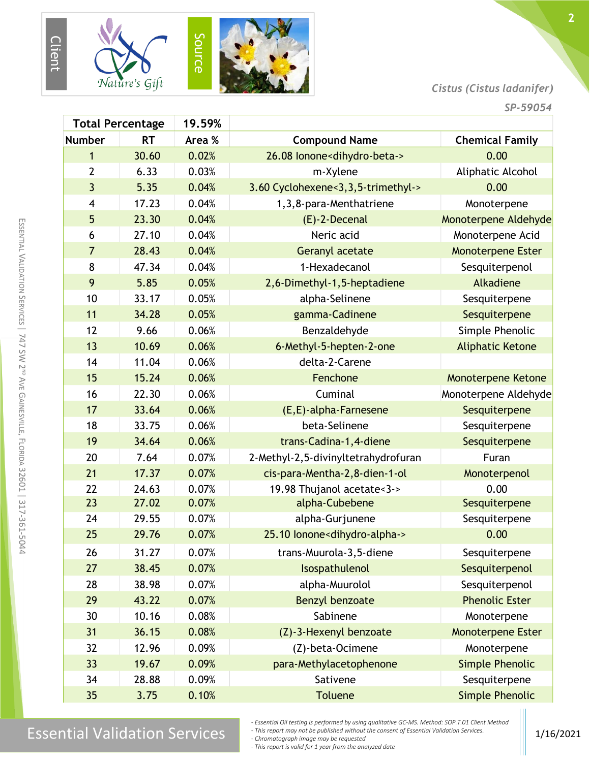



#### *Cistus (Cistus ladanifer)*

**2**

| <b>Total Percentage</b> |           | 19.59% |                                                |                           |
|-------------------------|-----------|--------|------------------------------------------------|---------------------------|
| <b>Number</b>           | <b>RT</b> | Area % | <b>Compound Name</b>                           | <b>Chemical Family</b>    |
| 1                       | 30.60     | 0.02%  | 26.08 lonone <dihydro-beta-></dihydro-beta->   | 0.00                      |
| $\overline{2}$          | 6.33      | 0.03%  | m-Xylene                                       | Aliphatic Alcohol         |
| 3                       | 5.35      | 0.04%  | 3.60 Cyclohexene<3,3,5-trimethyl->             | 0.00                      |
| 4                       | 17.23     | 0.04%  | 1, 3, 8-para-Menthatriene                      | Monoterpene               |
| 5                       | 23.30     | 0.04%  | $(E)$ -2-Decenal                               | Monoterpene Aldehyde      |
| 6                       | 27.10     | 0.04%  | Neric acid                                     | Monoterpene Acid          |
| $\overline{7}$          | 28.43     | 0.04%  | Geranyl acetate                                | <b>Monoterpene Ester</b>  |
| 8                       | 47.34     | 0.04%  | 1-Hexadecanol                                  | Sesquiterpenol            |
| 9                       | 5.85      | 0.05%  | 2,6-Dimethyl-1,5-heptadiene                    | Alkadiene                 |
| 10                      | 33.17     | 0.05%  | alpha-Selinene                                 | Sesquiterpene             |
| 11                      | 34.28     | 0.05%  | gamma-Cadinene                                 | Sesquiterpene             |
| 12                      | 9.66      | 0.06%  | Benzaldehyde                                   | Simple Phenolic           |
| 13                      | 10.69     | 0.06%  | 6-Methyl-5-hepten-2-one                        | <b>Aliphatic Ketone</b>   |
| 14                      | 11.04     | 0.06%  | delta-2-Carene                                 |                           |
| 15                      | 15.24     | 0.06%  | Fenchone                                       | <b>Monoterpene Ketone</b> |
| 16                      | 22.30     | 0.06%  | Cuminal                                        | Monoterpene Aldehyde      |
| 17                      | 33.64     | 0.06%  | (E,E)-alpha-Farnesene                          | Sesquiterpene             |
| 18                      | 33.75     | 0.06%  | beta-Selinene                                  | Sesquiterpene             |
| 19                      | 34.64     | 0.06%  | trans-Cadina-1,4-diene                         | Sesquiterpene             |
| 20                      | 7.64      | 0.07%  | 2-Methyl-2,5-divinyltetrahydrofuran            | Furan                     |
| 21                      | 17.37     | 0.07%  | cis-para-Mentha-2,8-dien-1-ol                  | Monoterpenol              |
| 22                      | 24.63     | 0.07%  | 19.98 Thujanol acetate<3->                     | 0.00                      |
| 23                      | 27.02     | 0.07%  | alpha-Cubebene                                 | Sesquiterpene             |
| 24                      | 29.55     | 0.07%  | alpha-Gurjunene                                | Sesquiterpene             |
| 25                      | 29.76     | 0.07%  | 25.10 Ionone <dihydro-alpha-></dihydro-alpha-> | 0.00                      |
| 26                      | 31.27     | 0.07%  | trans-Muurola-3,5-diene                        | Sesquiterpene             |
| 27                      | 38.45     | 0.07%  | Isospathulenol                                 | Sesquiterpenol            |
| 28                      | 38.98     | 0.07%  | alpha-Muurolol                                 | Sesquiterpenol            |
| 29                      | 43.22     | 0.07%  | Benzyl benzoate                                | <b>Phenolic Ester</b>     |
| 30                      | 10.16     | 0.08%  | Sabinene                                       | Monoterpene               |
| 31                      | 36.15     | 0.08%  | (Z)-3-Hexenyl benzoate                         | <b>Monoterpene Ester</b>  |
| 32                      | 12.96     | 0.09%  | (Z)-beta-Ocimene                               | Monoterpene               |
| 33                      | 19.67     | 0.09%  | para-Methylacetophenone                        | <b>Simple Phenolic</b>    |
| 34                      | 28.88     | 0.09%  | Sativene                                       | Sesquiterpene             |
| 35                      | 3.75      | 0.10%  | <b>Toluene</b>                                 | <b>Simple Phenolic</b>    |

## $\text{Essen}$  Essential Validation Services 116 February of the sump is performed by using quantum ve SC-NIS. Method, Services Inc. 101 Chent Method

*- Essential Oil testing is performed by using qualitative GC-MS. Method: SOP.T.01 Client Method - This report may not be published without the consent of Essential Validation Services.*

*- Chromatograph image may be requested*

*- This report is valid for 1 year from the analyzed date*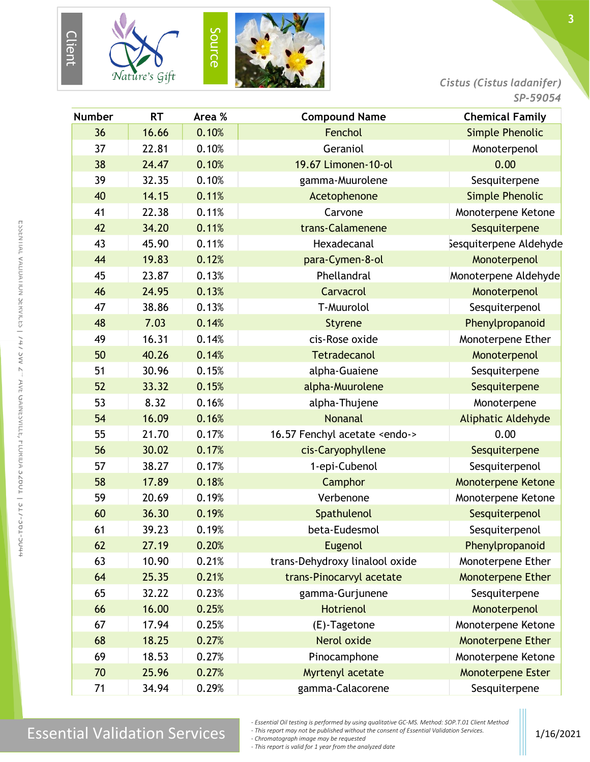





*Cistus (Cistus ladanifer)*

| <b>Number</b> | <b>RT</b> | Area % | <b>Compound Name</b>                  | <b>Chemical Family</b>    |
|---------------|-----------|--------|---------------------------------------|---------------------------|
| 36            | 16.66     | 0.10%  | Fenchol                               | <b>Simple Phenolic</b>    |
| 37            | 22.81     | 0.10%  | Geraniol                              | Monoterpenol              |
| 38            | 24.47     | 0.10%  | 19.67 Limonen-10-ol                   | 0.00                      |
| 39            | 32.35     | 0.10%  | gamma-Muurolene                       | Sesquiterpene             |
| 40            | 14.15     | 0.11%  | Acetophenone                          | <b>Simple Phenolic</b>    |
| 41            | 22.38     | 0.11%  | Carvone                               | Monoterpene Ketone        |
| 42            | 34.20     | 0.11%  | trans-Calamenene                      | Sesquiterpene             |
| 43            | 45.90     | 0.11%  | Hexadecanal                           | Sesquiterpene Aldehyde    |
| 44            | 19.83     | 0.12%  | para-Cymen-8-ol                       | Monoterpenol              |
| 45            | 23.87     | 0.13%  | Phellandral                           | Monoterpene Aldehyde      |
| 46            | 24.95     | 0.13%  | Carvacrol                             | Monoterpenol              |
| 47            | 38.86     | 0.13%  | T-Muurolol                            | Sesquiterpenol            |
| 48            | 7.03      | 0.14%  | <b>Styrene</b>                        | Phenylpropanoid           |
| 49            | 16.31     | 0.14%  | cis-Rose oxide                        | Monoterpene Ether         |
| 50            | 40.26     | 0.14%  | <b>Tetradecanol</b>                   | Monoterpenol              |
| 51            | 30.96     | 0.15%  | alpha-Guaiene                         | Sesquiterpene             |
| 52            | 33.32     | 0.15%  | alpha-Muurolene                       | Sesquiterpene             |
| 53            | 8.32      | 0.16%  | alpha-Thujene                         | Monoterpene               |
| 54            | 16.09     | 0.16%  | <b>Nonanal</b>                        | Aliphatic Aldehyde        |
| 55            | 21.70     | 0.17%  | 16.57 Fenchyl acetate <endo-></endo-> | 0.00                      |
| 56            | 30.02     | 0.17%  | cis-Caryophyllene                     | Sesquiterpene             |
| 57            | 38.27     | 0.17%  | 1-epi-Cubenol                         | Sesquiterpenol            |
| 58            | 17.89     | 0.18%  | Camphor                               | <b>Monoterpene Ketone</b> |
| 59            | 20.69     | 0.19%  | Verbenone                             | Monoterpene Ketone        |
| 60            | 36.30     | 0.19%  | Spathulenol                           | Sesquiterpenol            |
| 61            | 39.23     | 0.19%  | beta-Eudesmol                         | Sesquiterpenol            |
| 62            | 27.19     | 0.20%  | Eugenol                               | Phenylpropanoid           |
| 63            | 10.90     | 0.21%  | trans-Dehydroxy linalool oxide        | Monoterpene Ether         |
| 64            | 25.35     | 0.21%  | trans-Pinocarvyl acetate              | <b>Monoterpene Ether</b>  |
| 65            | 32.22     | 0.23%  | gamma-Gurjunene                       | Sesquiterpene             |
| 66            | 16.00     | 0.25%  | Hotrienol                             | Monoterpenol              |
| 67            | 17.94     | 0.25%  | (E)-Tagetone                          | Monoterpene Ketone        |
| 68            | 18.25     | 0.27%  | Nerol oxide                           | Monoterpene Ether         |
| 69            | 18.53     | 0.27%  | Pinocamphone                          | Monoterpene Ketone        |
| 70            | 25.96     | 0.27%  | Myrtenyl acetate                      | Monoterpene Ester         |
| 71            | 34.94     | 0.29%  | gamma-Calacorene                      | Sesquiterpene             |

E

*- This report may not be published without the consent of Essential Validation Services.*

*- Chromatograph image may be requested*

*- This report is valid for 1 year from the analyzed date*

*<sup>-</sup> Essential Oil testing is performed by using qualitative GC-MS. Method: SOP.T.01 Client Method*